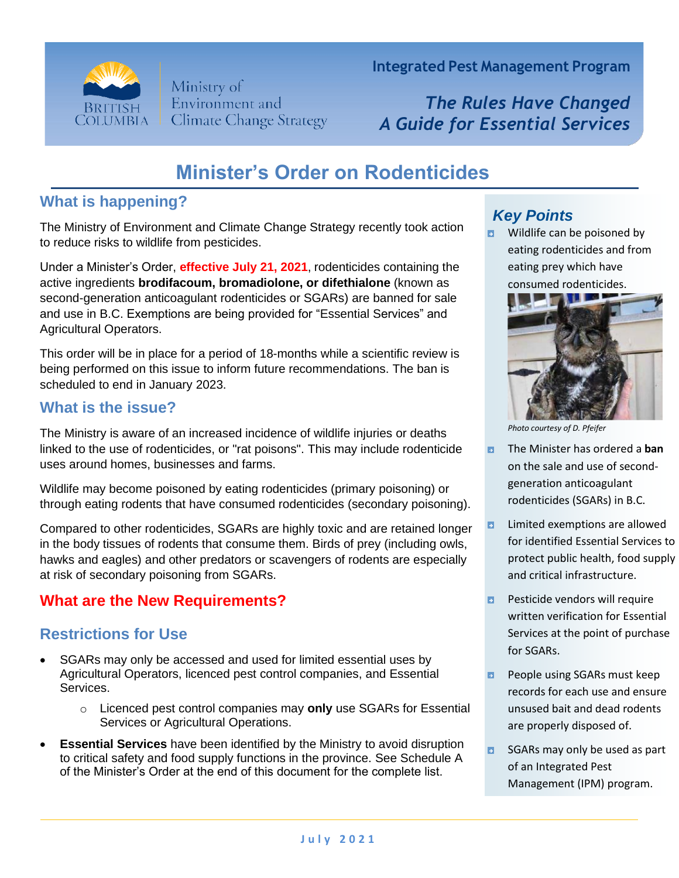

Ministry of Environment and **Climate Change Strategy**  **Integrated Pest Management Program**

*The Rules Have Changed A Guide for Essential Services*

# **Minister's Order on Rodenticides**

## **What is happening?**

The Ministry of Environment and Climate Change Strategy recently took action to reduce risks to wildlife from pesticides.

Under a Minister's Order, **effective July 21, 2021**, rodenticides containing the active ingredients **brodifacoum, bromadiolone, or difethialone** (known as second-generation anticoagulant rodenticides or SGARs) are banned for sale and use in B.C. Exemptions are being provided for "Essential Services" and Agricultural Operators.

This order will be in place for a period of 18-months while a scientific review is being performed on this issue to inform future recommendations. The ban is scheduled to end in January 2023.

### **What is the issue?**

The Ministry is aware of an increased incidence of wildlife injuries or deaths linked to the use of rodenticides, or "rat poisons". This may include rodenticide uses around homes, businesses and farms.

Wildlife may become poisoned by eating rodenticides (primary poisoning) or through eating rodents that have consumed rodenticides (secondary poisoning).

Compared to other rodenticides, SGARs are highly toxic and are retained longer in the body tissues of rodents that consume them. Birds of prey (including owls, hawks and eagles) and other predators or scavengers of rodents are especially at risk of secondary poisoning from SGARs.

# **What are the New Requirements?**

# **Restrictions for Use**

- SGARs may only be accessed and used for limited essential uses by Agricultural Operators, licenced pest control companies, and Essential Services.
	- o Licenced pest control companies may **only** use SGARs for Essential Services or Agricultural Operations.
- **Essential Services** have been identified by the Ministry to avoid disruption to critical safety and food supply functions in the province. See Schedule A of the Minister's Order at the end of this document for the complete list.

# *Key Points*

Wildlife can be poisoned by  $\blacksquare$ eating rodenticides and from eating prey which have consumed rodenticides.



*Photo courtesy of D. Pfeifer*

- Ð. The Minister has ordered a **ban** on the sale and use of secondgeneration anticoagulant rodenticides (SGARs) in B.C.
- $\blacksquare$ Limited exemptions are allowed for identified Essential Services to protect public health, food supply and critical infrastructure.
- **Pesticide vendors will require** written verification for Essential Services at the point of purchase for SGARs.
- People using SGARs must keep  $\blacksquare$ records for each use and ensure unsused bait and dead rodents are properly disposed of.
- SGARs may only be used as part  $\mathbf{E}$ of an Integrated Pest Management (IPM) program.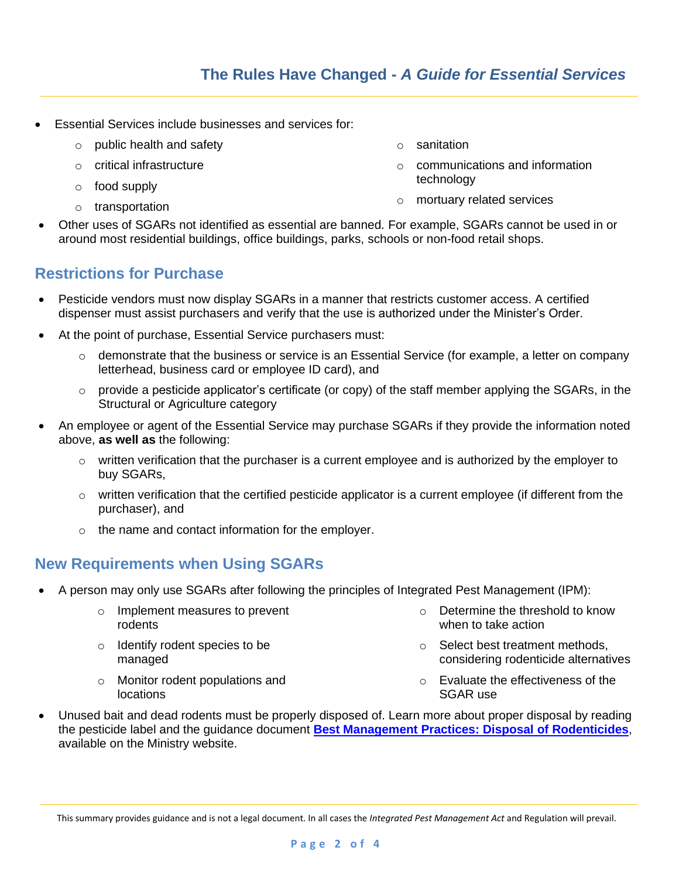- Essential Services include businesses and services for:
	- o public health and safety
	- o critical infrastructure
	- o food supply
	- o transportation
- o sanitation
- o communications and information technology
- o mortuary related services
- Other uses of SGARs not identified as essential are banned. For example, SGARs cannot be used in or around most residential buildings, office buildings, parks, schools or non-food retail shops.

### **Restrictions for Purchase**

- Pesticide vendors must now display SGARs in a manner that restricts customer access. A certified dispenser must assist purchasers and verify that the use is authorized under the Minister's Order.
- At the point of purchase, Essential Service purchasers must:
	- $\circ$  demonstrate that the business or service is an Essential Service (for example, a letter on company letterhead, business card or employee ID card), and
	- o provide a pesticide applicator's certificate (or copy) of the staff member applying the SGARs, in the Structural or Agriculture category
- An employee or agent of the Essential Service may purchase SGARs if they provide the information noted above, **as well as** the following:
	- $\circ$  written verification that the purchaser is a current employee and is authorized by the employer to buy SGARs,
	- o written verification that the certified pesticide applicator is a current employee (if different from the purchaser), and
	- o the name and contact information for the employer.

#### **New Requirements when Using SGARs**

- A person may only use SGARs after following the principles of Integrated Pest Management (IPM):
	- o Implement measures to prevent rodents
	- o Identify rodent species to be managed
	- o Monitor rodent populations and locations
- o Determine the threshold to know when to take action
- o Select best treatment methods, considering rodenticide alternatives
- o Evaluate the effectiveness of the SGAR use
- Unused bait and dead rodents must be properly disposed of. Learn more about proper disposal by reading the pesticide label and the guidance document **[Best Management Practices: Disposal of Rodenticides](https://www2.gov.bc.ca/assets/download/5383716EF5D844BBB16B772EF37479B1)**, available on the Ministry website.

This summary provides guidance and is not a legal document. In all cases the *Integrated Pest Management Act* and Regulation will prevail.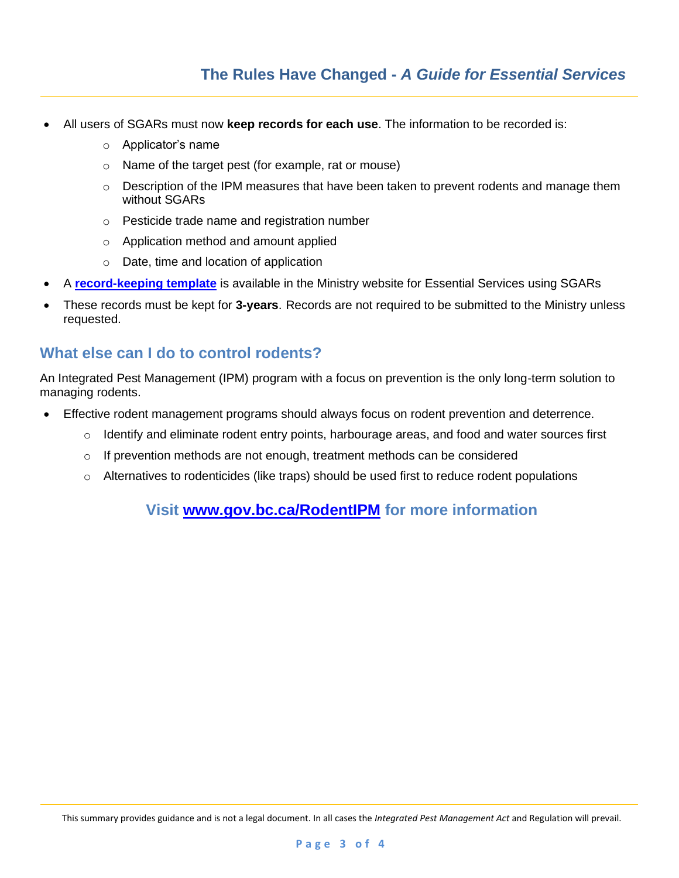- All users of SGARs must now **keep records for each use**. The information to be recorded is:
	- o Applicator's name
	- o Name of the target pest (for example, rat or mouse)
	- $\circ$  Description of the IPM measures that have been taken to prevent rodents and manage them without SGARs
	- o Pesticide trade name and registration number
	- o Application method and amount applied
	- o Date, time and location of application
- A **[record-keeping template](https://www2.gov.bc.ca/assets/download/667D8365D725435C80D55D163DE7CCB4)** is available in the Ministry website for Essential Services using SGARs
- These records must be kept for **3-years**. Records are not required to be submitted to the Ministry unless requested.

#### **What else can I do to control rodents?**

An Integrated Pest Management (IPM) program with a focus on prevention is the only long-term solution to managing rodents.

- Effective rodent management programs should always focus on rodent prevention and deterrence.
	- $\circ$  Identify and eliminate rodent entry points, harbourage areas, and food and water sources first
	- $\circ$  If prevention methods are not enough, treatment methods can be considered
	- $\circ$  Alternatives to rodenticides (like traps) should be used first to reduce rodent populations

**Visit [www.gov.bc.ca/RodentIPM](http://www.gov.bc.ca/RodentIPM) for more information**